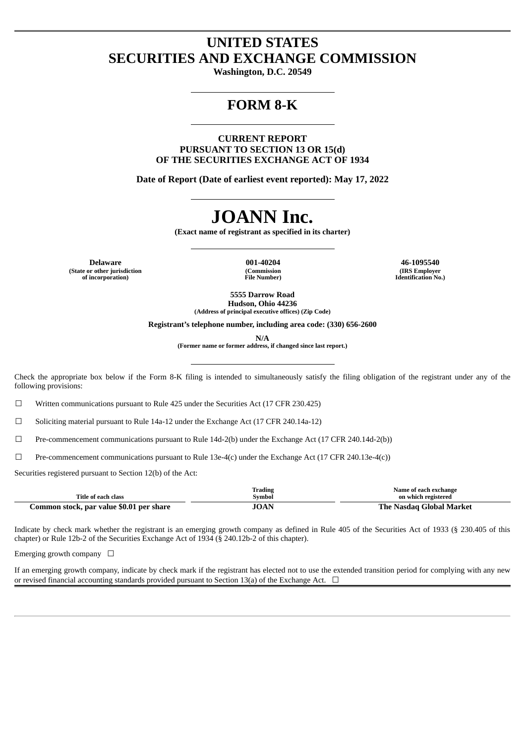## **UNITED STATES SECURITIES AND EXCHANGE COMMISSION**

**Washington, D.C. 20549**

# **FORM 8-K**

**CURRENT REPORT PURSUANT TO SECTION 13 OR 15(d) OF THE SECURITIES EXCHANGE ACT OF 1934**

**Date of Report (Date of earliest event reported): May 17, 2022**

# **JOANN Inc.**

**(Exact name of registrant as specified in its charter)**

**Delaware 001-40204 46-1095540 (State or other jurisdiction of incorporation)**

**(Commission File Number)**

**(IRS Employer Identification No.)**

**5555 Darrow Road Hudson, Ohio 44236 (Address of principal executive offices) (Zip Code)**

**Registrant's telephone number, including area code: (330) 656-2600**

**N/A**

**(Former name or former address, if changed since last report.)**

Check the appropriate box below if the Form 8-K filing is intended to simultaneously satisfy the filing obligation of the registrant under any of the following provisions:

 $\Box$  Written communications pursuant to Rule 425 under the Securities Act (17 CFR 230.425)

 $\Box$  Soliciting material pursuant to Rule 14a-12 under the Exchange Act (17 CFR 240.14a-12)

☐ Pre-commencement communications pursuant to Rule 14d-2(b) under the Exchange Act (17 CFR 240.14d-2(b))

 $□$  Pre-commencement communications pursuant to Rule 13e-4(c) under the Exchange Act (17 CFR 240.13e-4(c))

Securities registered pursuant to Section 12(b) of the Act:

| Title of each class                      | Trading<br><b>Symbol</b> | Name of each exchange<br>on which registered |
|------------------------------------------|--------------------------|----------------------------------------------|
| Common stock, par value \$0.01 per share | JOAN                     | The Nasdag Global Market                     |

Indicate by check mark whether the registrant is an emerging growth company as defined in Rule 405 of the Securities Act of 1933 (§ 230.405 of this chapter) or Rule 12b-2 of the Securities Exchange Act of 1934 (§ 240.12b-2 of this chapter).

Emerging growth company  $\Box$ 

If an emerging growth company, indicate by check mark if the registrant has elected not to use the extended transition period for complying with any new or revised financial accounting standards provided pursuant to Section 13(a) of the Exchange Act.  $\Box$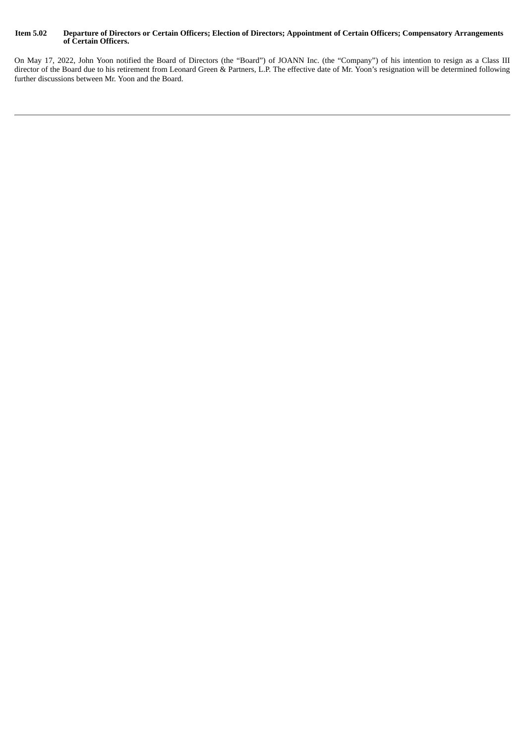#### Item 5.02 Departure of Directors or Certain Officers; Election of Directors; Appointment of Certain Officers; Compensatory Arrangements **of Certain Officers.**

On May 17, 2022, John Yoon notified the Board of Directors (the "Board") of JOANN Inc. (the "Company") of his intention to resign as a Class III director of the Board due to his retirement from Leonard Green & Partners, L.P. The effective date of Mr. Yoon's resignation will be determined following further discussions between Mr. Yoon and the Board.